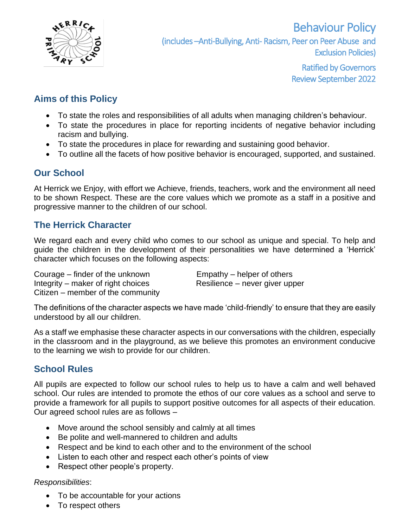

Ratified by Governors Review September 2022

# **Aims of this Policy**

- To state the roles and responsibilities of all adults when managing children's behaviour.
- To state the procedures in place for reporting incidents of negative behavior including racism and bullying.
- To state the procedures in place for rewarding and sustaining good behavior.
- To outline all the facets of how positive behavior is encouraged, supported, and sustained.

# **Our School**

At Herrick we Enjoy, with effort we Achieve, friends, teachers, work and the environment all need to be shown Respect. These are the core values which we promote as a staff in a positive and progressive manner to the children of our school.

# **The Herrick Character**

We regard each and every child who comes to our school as unique and special. To help and guide the children in the development of their personalities we have determined a 'Herrick' character which focuses on the following aspects:

Courage – finder of the unknown Empathy – helper of others Integrity – maker of right choices Resilience – never giver upper Citizen – member of the community

The definitions of the character aspects we have made 'child-friendly' to ensure that they are easily understood by all our children.

As a staff we emphasise these character aspects in our conversations with the children, especially in the classroom and in the playground, as we believe this promotes an environment conducive to the learning we wish to provide for our children.

# **School Rules**

All pupils are expected to follow our school rules to help us to have a calm and well behaved school. Our rules are intended to promote the ethos of our core values as a school and serve to provide a framework for all pupils to support positive outcomes for all aspects of their education. Our agreed school rules are as follows –

- Move around the school sensibly and calmly at all times
- Be polite and well-mannered to children and adults
- Respect and be kind to each other and to the environment of the school
- Listen to each other and respect each other's points of view
- Respect other people's property.

## *Responsibilities*:

- To be accountable for your actions
- To respect others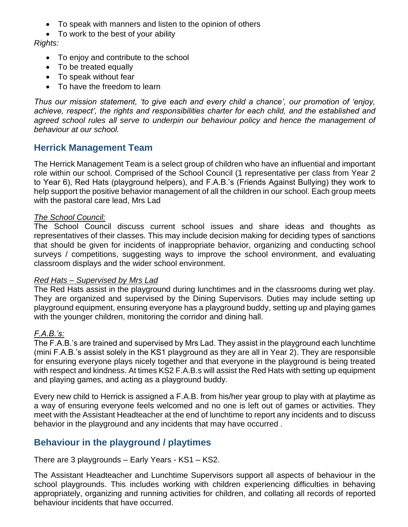- To speak with manners and listen to the opinion of others
- To work to the best of your ability

## *Rights:*

- To enjoy and contribute to the school
- To be treated equally
- To speak without fear
- To have the freedom to learn

*Thus our mission statement, 'to give each and every child a chance', our promotion of 'enjoy, achieve, respect', the rights and responsibilities charter for each child, and the established and*  agreed school rules all serve to underpin our behaviour policy and hence the management of *behaviour at our school.* 

## **Herrick Management Team**

The Herrick Management Team is a select group of children who have an influential and important role within our school. Comprised of the School Council (1 representative per class from Year 2 to Year 6), Red Hats (playground helpers), and F.A.B.'s (Friends Against Bullying) they work to help support the positive behavior management of all the children in our school. Each group meets with the pastoral care lead, Mrs Lad

#### *The School Council:*

The School Council discuss current school issues and share ideas and thoughts as representatives of their classes. This may include decision making for deciding types of sanctions that should be given for incidents of inappropriate behavior, organizing and conducting school surveys / competitions, suggesting ways to improve the school environment, and evaluating classroom displays and the wider school environment.

#### *Red Hats – Supervised by Mrs Lad*

The Red Hats assist in the playground during lunchtimes and in the classrooms during wet play. They are organized and supervised by the Dining Supervisors. Duties may include setting up playground equipment, ensuring everyone has a playground buddy, setting up and playing games with the younger children, monitoring the corridor and dining hall.

## *F.A.B.'s:*

The F.A.B.'s are trained and supervised by Mrs Lad. They assist in the playground each lunchtime (mini F.A.B.'s assist solely in the KS1 playground as they are all in Year 2). They are responsible for ensuring everyone plays nicely together and that everyone in the playground is being treated with respect and kindness. At times KS2 F.A.B.s will assist the Red Hats with setting up equipment and playing games, and acting as a playground buddy.

Every new child to Herrick is assigned a F.A.B. from his/her year group to play with at playtime as a way of ensuring everyone feels welcomed and no one is left out of games or activities. They meet with the Assistant Headteacher at the end of lunchtime to report any incidents and to discuss behavior in the playground and any incidents that may have occurred .

# **Behaviour in the playground / playtimes**

There are 3 playgrounds – Early Years - KS1 – KS2.

The Assistant Headteacher and Lunchtime Supervisors support all aspects of behaviour in the school playgrounds. This includes working with children experiencing difficulties in behaving appropriately, organizing and running activities for children, and collating all records of reported behaviour incidents that have occurred.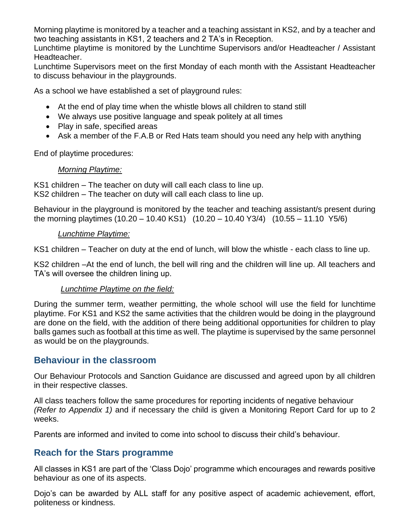Morning playtime is monitored by a teacher and a teaching assistant in KS2, and by a teacher and two teaching assistants in KS1, 2 teachers and 2 TA's in Reception.

Lunchtime playtime is monitored by the Lunchtime Supervisors and/or Headteacher / Assistant Headteacher.

Lunchtime Supervisors meet on the first Monday of each month with the Assistant Headteacher to discuss behaviour in the playgrounds.

As a school we have established a set of playground rules:

- At the end of play time when the whistle blows all children to stand still
- We always use positive language and speak politely at all times
- Play in safe, specified areas
- Ask a member of the F.A.B or Red Hats team should you need any help with anything

End of playtime procedures:

## *Morning Playtime:*

KS1 children – The teacher on duty will call each class to line up. KS2 children – The teacher on duty will call each class to line up.

Behaviour in the playground is monitored by the teacher and teaching assistant/s present during the morning playtimes (10.20 – 10.40 KS1) (10.20 – 10.40 Y3/4) (10.55 – 11.10 Y5/6)

## *Lunchtime Playtime:*

KS1 children – Teacher on duty at the end of lunch, will blow the whistle - each class to line up.

KS2 children –At the end of lunch, the bell will ring and the children will line up. All teachers and TA's will oversee the children lining up.

## *Lunchtime Playtime on the field:*

During the summer term, weather permitting, the whole school will use the field for lunchtime playtime. For KS1 and KS2 the same activities that the children would be doing in the playground are done on the field, with the addition of there being additional opportunities for children to play balls games such as football at this time as well. The playtime is supervised by the same personnel as would be on the playgrounds.

# **Behaviour in the classroom**

Our Behaviour Protocols and Sanction Guidance are discussed and agreed upon by all children in their respective classes.

All class teachers follow the same procedures for reporting incidents of negative behaviour *(Refer to Appendix 1)* and if necessary the child is given a Monitoring Report Card for up to 2 weeks.

Parents are informed and invited to come into school to discuss their child's behaviour.

# **Reach for the Stars programme**

All classes in KS1 are part of the 'Class Dojo' programme which encourages and rewards positive behaviour as one of its aspects.

Dojo's can be awarded by ALL staff for any positive aspect of academic achievement, effort, politeness or kindness.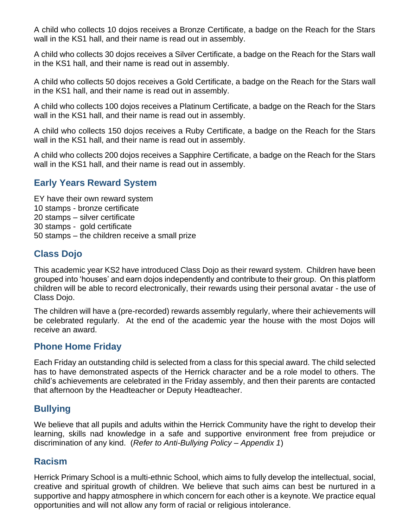A child who collects 10 dojos receives a Bronze Certificate, a badge on the Reach for the Stars wall in the KS1 hall, and their name is read out in assembly.

A child who collects 30 dojos receives a Silver Certificate, a badge on the Reach for the Stars wall in the KS1 hall, and their name is read out in assembly.

A child who collects 50 dojos receives a Gold Certificate, a badge on the Reach for the Stars wall in the KS1 hall, and their name is read out in assembly.

A child who collects 100 dojos receives a Platinum Certificate, a badge on the Reach for the Stars wall in the KS1 hall, and their name is read out in assembly.

A child who collects 150 dojos receives a Ruby Certificate, a badge on the Reach for the Stars wall in the KS1 hall, and their name is read out in assembly.

A child who collects 200 dojos receives a Sapphire Certificate, a badge on the Reach for the Stars wall in the KS1 hall, and their name is read out in assembly.

# **Early Years Reward System**

- EY have their own reward system
- 10 stamps bronze certificate
- 20 stamps silver certificate
- 30 stamps gold certificate
- 50 stamps the children receive a small prize

# **Class Dojo**

This academic year KS2 have introduced Class Dojo as their reward system. Children have been grouped into 'houses' and earn dojos independently and contribute to their group. On this platform children will be able to record electronically, their rewards using their personal avatar - the use of Class Dojo.

The children will have a (pre-recorded) rewards assembly regularly, where their achievements will be celebrated regularly. At the end of the academic year the house with the most Dojos will receive an award.

# **Phone Home Friday**

Each Friday an outstanding child is selected from a class for this special award. The child selected has to have demonstrated aspects of the Herrick character and be a role model to others. The child's achievements are celebrated in the Friday assembly, and then their parents are contacted that afternoon by the Headteacher or Deputy Headteacher.

# **Bullying**

We believe that all pupils and adults within the Herrick Community have the right to develop their learning, skills nad knowledge in a safe and supportive environment free from prejudice or discrimination of any kind. (*Refer to Anti-Bullying Policy – Appendix 1*)

# **Racism**

Herrick Primary School is a multi-ethnic School, which aims to fully develop the intellectual, social, creative and spiritual growth of children. We believe that such aims can best be nurtured in a supportive and happy atmosphere in which concern for each other is a keynote. We practice equal opportunities and will not allow any form of racial or religious intolerance.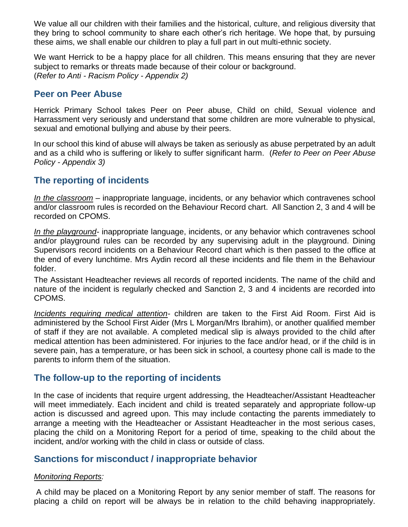We value all our children with their families and the historical, culture, and religious diversity that they bring to school community to share each other's rich heritage. We hope that, by pursuing these aims, we shall enable our children to play a full part in out multi-ethnic society.

We want Herrick to be a happy place for all children. This means ensuring that they are never subject to remarks or threats made because of their colour or background. (*Refer to Anti - Racism Policy - Appendix 2)*

## **Peer on Peer Abuse**

Herrick Primary School takes Peer on Peer abuse, Child on child, Sexual violence and Harrassment very seriously and understand that some children are more vulnerable to physical, sexual and emotional bullying and abuse by their peers.

In our school this kind of abuse will always be taken as seriously as abuse perpetrated by an adult and as a child who is suffering or likely to suffer significant harm. (*Refer to Peer on Peer Abuse Policy - Appendix 3)*

# **The reporting of incidents**

*In the classroom –* inappropriate language, incidents, or any behavior which contravenes school and/or classroom rules is recorded on the Behaviour Record chart. All Sanction 2, 3 and 4 will be recorded on CPOMS.

*In the playground-* inappropriate language, incidents, or any behavior which contravenes school and/or playground rules can be recorded by any supervising adult in the playground. Dining Supervisors record incidents on a Behaviour Record chart which is then passed to the office at the end of every lunchtime. Mrs Aydin record all these incidents and file them in the Behaviour folder.

The Assistant Headteacher reviews all records of reported incidents. The name of the child and nature of the incident is regularly checked and Sanction 2, 3 and 4 incidents are recorded into CPOMS.

*Incidents requiring medical attention-* children are taken to the First Aid Room. First Aid is administered by the School First Aider (Mrs L Morgan/Mrs Ibrahim), or another qualified member of staff if they are not available. A completed medical slip is always provided to the child after medical attention has been administered. For injuries to the face and/or head, or if the child is in severe pain, has a temperature, or has been sick in school, a courtesy phone call is made to the parents to inform them of the situation.

# **The follow-up to the reporting of incidents**

In the case of incidents that require urgent addressing, the Headteacher/Assistant Headteacher will meet immediately. Each incident and child is treated separately and appropriate follow-up action is discussed and agreed upon. This may include contacting the parents immediately to arrange a meeting with the Headteacher or Assistant Headteacher in the most serious cases, placing the child on a Monitoring Report for a period of time, speaking to the child about the incident, and/or working with the child in class or outside of class.

# **Sanctions for misconduct / inappropriate behavior**

#### *Monitoring Reports:*

A child may be placed on a Monitoring Report by any senior member of staff. The reasons for placing a child on report will be always be in relation to the child behaving inappropriately.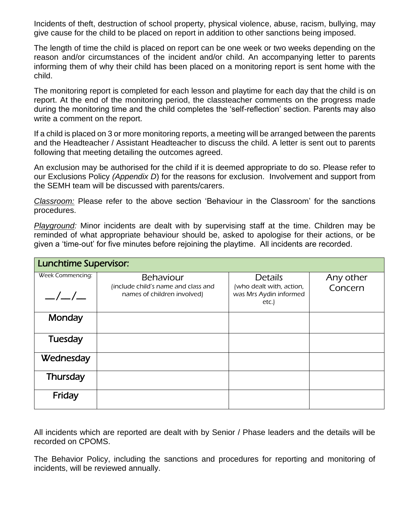Incidents of theft, destruction of school property, physical violence, abuse, racism, bullying, may give cause for the child to be placed on report in addition to other sanctions being imposed.

The length of time the child is placed on report can be one week or two weeks depending on the reason and/or circumstances of the incident and/or child. An accompanying letter to parents informing them of why their child has been placed on a monitoring report is sent home with the child.

The monitoring report is completed for each lesson and playtime for each day that the child is on report. At the end of the monitoring period, the classteacher comments on the progress made during the monitoring time and the child completes the 'self-reflection' section. Parents may also write a comment on the report.

If a child is placed on 3 or more monitoring reports, a meeting will be arranged between the parents and the Headteacher / Assistant Headteacher to discuss the child. A letter is sent out to parents following that meeting detailing the outcomes agreed.

An exclusion may be authorised for the child if it is deemed appropriate to do so. Please refer to our Exclusions Policy *(Appendix D*) for the reasons for exclusion. Involvement and support from the SEMH team will be discussed with parents/carers.

*Classroom:* Please refer to the above section 'Behaviour in the Classroom' for the sanctions procedures.

*Playground:* Minor incidents are dealt with by supervising staff at the time. Children may be reminded of what appropriate behaviour should be, asked to apologise for their actions, or be given a 'time-out' for five minutes before rejoining the playtime. All incidents are recorded.

| <b>Lunchtime Supervisor:</b> |                                                                    |                                                             |           |  |
|------------------------------|--------------------------------------------------------------------|-------------------------------------------------------------|-----------|--|
| Week Commencing:             | <b>Behaviour</b>                                                   | <b>Details</b>                                              | Any other |  |
| $\frac{\mu}{\mu}$            | (include child's name and class and<br>names of children involved) | (who dealt with, action,<br>was Mrs Aydin informed<br>etc.) | Concern   |  |
| Monday                       |                                                                    |                                                             |           |  |
| Tuesday                      |                                                                    |                                                             |           |  |
| Wednesday                    |                                                                    |                                                             |           |  |
| <b>Thursday</b>              |                                                                    |                                                             |           |  |
| Friday                       |                                                                    |                                                             |           |  |

All incidents which are reported are dealt with by Senior / Phase leaders and the details will be recorded on CPOMS.

The Behavior Policy, including the sanctions and procedures for reporting and monitoring of incidents, will be reviewed annually.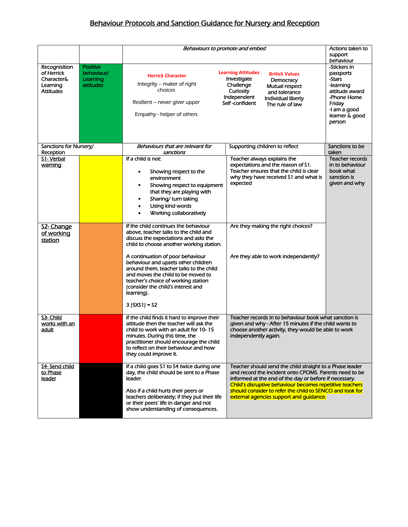# Behaviour Protocols and Sanction Guidance for Nursery and Reception

|                        |                 |                                                                                         | Behaviours to promote and embed                                                                               | Actions taken to       |
|------------------------|-----------------|-----------------------------------------------------------------------------------------|---------------------------------------------------------------------------------------------------------------|------------------------|
|                        |                 |                                                                                         |                                                                                                               | support                |
|                        |                 |                                                                                         |                                                                                                               | behaviour              |
| Recognisition          | <b>Positive</b> |                                                                                         |                                                                                                               | -Stickers in           |
| of Herrick             | behaviour/      | <b>Herrick Character</b>                                                                | <b>Learning Attitudes</b><br><b>British Values</b>                                                            | passports              |
| Character&             | Learning        |                                                                                         | Investigate<br>Democracy                                                                                      | -Stars                 |
| Learning               | attitudes       | Integrity - maker of right<br>choices                                                   | Challenge<br>Mutual respect                                                                                   | -learning              |
| Attitudes              |                 |                                                                                         | Curiosity<br>and tolerance                                                                                    | attitude award         |
|                        |                 | Resilient – never giver upper                                                           | Independent<br>Individual liberty<br>Self-confident                                                           | -Phone Home            |
|                        |                 |                                                                                         | The rule of law                                                                                               | Friday<br>-I am a good |
|                        |                 | Empathy - helper of others                                                              |                                                                                                               | learner & good         |
|                        |                 |                                                                                         |                                                                                                               | person                 |
|                        |                 |                                                                                         |                                                                                                               |                        |
|                        |                 |                                                                                         |                                                                                                               |                        |
|                        |                 |                                                                                         |                                                                                                               |                        |
| Sanctions for Nursery/ |                 | Behaviours that are relevant for                                                        | Supporting children to reflect                                                                                | Sanctions to be        |
| Reception              |                 | sanctions                                                                               |                                                                                                               | taken                  |
| S1- Verbal             |                 | If a child is not:                                                                      | Teacher always explains the                                                                                   | <b>Teacher records</b> |
| <u>warning</u>         |                 |                                                                                         | expectations and the reason of S1.                                                                            | in to behaviour        |
|                        |                 | Showing respect to the                                                                  | Teacher ensures that the child is clear                                                                       | book what              |
|                        |                 | environment                                                                             | why they have received S1 and what is                                                                         | sanction is            |
|                        |                 | Showing respect to equipment                                                            | expected                                                                                                      | given and why          |
|                        |                 | that they are playing with                                                              |                                                                                                               |                        |
|                        |                 | Sharing/turn taking                                                                     |                                                                                                               |                        |
|                        |                 | Using kind words                                                                        |                                                                                                               |                        |
|                        |                 | Working collaboratively                                                                 |                                                                                                               |                        |
|                        |                 |                                                                                         |                                                                                                               |                        |
| S2-Change              |                 | If the child continues the behaviour                                                    | Are they making the right choices?                                                                            |                        |
| of working             |                 | above, teacher talks to the child and                                                   |                                                                                                               |                        |
| station                |                 | discuss the expectations and asks the                                                   |                                                                                                               |                        |
|                        |                 | child to choose another working station.                                                |                                                                                                               |                        |
|                        |                 |                                                                                         |                                                                                                               |                        |
|                        |                 | A continuation of poor behaviour<br>behaviour and upsets other children                 | Are they able to work independently?                                                                          |                        |
|                        |                 | around them, teacher talks to the child                                                 |                                                                                                               |                        |
|                        |                 | and moves the child to be moved to                                                      |                                                                                                               |                        |
|                        |                 | teacher's choice of working station                                                     |                                                                                                               |                        |
|                        |                 | (consider the child's interest and                                                      |                                                                                                               |                        |
|                        |                 | learning).                                                                              |                                                                                                               |                        |
|                        |                 |                                                                                         |                                                                                                               |                        |
|                        |                 | $3(5X51) = S2$                                                                          |                                                                                                               |                        |
|                        |                 |                                                                                         |                                                                                                               |                        |
| S3- Child              |                 | If the child finds it hard to improve their                                             | Teacher records in to behaviour book what sanction is                                                         |                        |
| works with an<br>adult |                 | attitude then the teacher will ask the<br>child to work with an adult for 10-15         | given and why - After 15 minutes if the child wants to<br>choose another activity, they would be able to work |                        |
|                        |                 | minutes. During this time, the                                                          | independently again.                                                                                          |                        |
|                        |                 | practitioner should encourage the child                                                 |                                                                                                               |                        |
|                        |                 | to reflect on their behaviour and how                                                   |                                                                                                               |                        |
|                        |                 | they could improve it.                                                                  |                                                                                                               |                        |
|                        |                 |                                                                                         |                                                                                                               |                        |
| S4- Send child         |                 | If a child goes S1 to S4 twice during one                                               | Teacher should send the child straight to a Phase leader                                                      |                        |
| to Phase               |                 | day, the child should be sent to a Phase                                                | and record the incident onto CPOMS. Parents need to be                                                        |                        |
| leader                 |                 | leader.                                                                                 | informed at the end of the day or before if necessary.                                                        |                        |
|                        |                 |                                                                                         | Child's disruptive behaviour becomes repetitive teachers                                                      |                        |
|                        |                 | Also if a child hurts their peers or                                                    | should consider to refer the child to SENCO and look for                                                      |                        |
|                        |                 | teachers deliberately; if they put their life<br>or their peers' life in danger and not | external agencies support and guidance.                                                                       |                        |
|                        |                 | show understanding of consequences.                                                     |                                                                                                               |                        |
|                        |                 |                                                                                         |                                                                                                               |                        |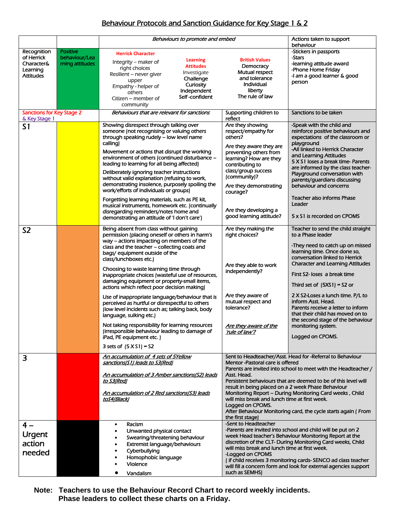## Behaviour Protocols and Sanction Guidance for Key Stage 1 & 2

|                                                   |                 | Behaviours to promote and embed                                                                    |                                                    | Actions taken to support                                                                                                        |
|---------------------------------------------------|-----------------|----------------------------------------------------------------------------------------------------|----------------------------------------------------|---------------------------------------------------------------------------------------------------------------------------------|
| Recognition                                       | <b>Positive</b> |                                                                                                    |                                                    | behaviour<br>-Stickers in passports                                                                                             |
| of Herrick                                        | behaviour/Lea   | <b>Herrick Character</b>                                                                           |                                                    | -Stars                                                                                                                          |
| Character&                                        | rning attitudes | Learning<br>Integrity – maker of<br><b>Attitudes</b>                                               | <b>British Values</b><br>Democracy                 | -learning attitude award                                                                                                        |
| Learning                                          |                 | right choices<br>Investigate                                                                       | Mutual respect                                     | -Phone Home Friday                                                                                                              |
| <b>Attitudes</b>                                  |                 | Resilient - never giver<br>Challenge<br>upper                                                      | and tolerance                                      | -I am a good learner & good                                                                                                     |
|                                                   |                 | Curiosity<br>Empathy - helper of                                                                   | Individual                                         | person                                                                                                                          |
|                                                   |                 | Independent<br>others                                                                              | liberty                                            |                                                                                                                                 |
|                                                   |                 | Self-confident<br>Citizen – member of<br>community                                                 | The rule of law                                    |                                                                                                                                 |
| <b>Sanctions for Key Stage 2</b><br>& Key Stage 1 |                 | Behaviours that are relevant for sanctions                                                         | Supporting children to<br>reflect                  | Sanctions to be taken                                                                                                           |
| S <sub>1</sub>                                    |                 | Showing disrespect through talking over                                                            | Are they showing                                   | -Speak with the child and                                                                                                       |
|                                                   |                 | someone (not recognising or valuing others                                                         | respect/empathy for                                | reinforce positive behaviours and                                                                                               |
|                                                   |                 | through speaking rudely - low level name<br>calling)                                               | others?<br>Are they aware they are                 | expectations of the classroom or<br>playground                                                                                  |
|                                                   |                 | Movement or actions that disrupt the working                                                       | preventing others from                             | -All linked to Herrick Character                                                                                                |
|                                                   |                 | environment of others (continued disturbance -<br>leading to learning for all being affected)      | learning? How are they<br>contributing to          | and Learning Attitudes<br>5 X S1 loses a break time- Parents                                                                    |
|                                                   |                 | Deliberately ignoring teacher instructions                                                         | class/group success<br>(community)?                | are informed by the class teacher-<br>Playground conversation with                                                              |
|                                                   |                 | without valid explanation (refusing to work,<br>demonstrating insolence, purposely spoiling the    |                                                    | parents/guardians discussing                                                                                                    |
|                                                   |                 | work/efforts of individuals or groups)                                                             | Are they demonstrating<br>courage?                 | behaviour and concerns                                                                                                          |
|                                                   |                 | Forgetting learning materials, such as PE kit,<br>musical instruments, homework etc. (continually  |                                                    | Teacher also informs Phase<br>Leader                                                                                            |
|                                                   |                 | disregarding reminders/notes home and                                                              | Are they developing a                              |                                                                                                                                 |
|                                                   |                 | demonstrating an attitude of 'I don't care')                                                       | good learning attitude?                            | 5 x S1 is recorded on CPOMS                                                                                                     |
| S <sub>2</sub>                                    |                 | Being absent from class without gaining<br>permission (placing oneself or others in harm's         | Are they making the<br>right choices?              | Teacher to send the child straight<br>to a Phase leader                                                                         |
|                                                   |                 | way - actions impacting on members of the                                                          |                                                    |                                                                                                                                 |
|                                                   |                 | class and the teacher - collecting coats and                                                       |                                                    | -They need to catch up on missed<br>learning time. Once done so,                                                                |
|                                                   |                 | bags/ equipment outside of the<br>class/lunchboxes etc.)                                           |                                                    | conversation linked to Herrick                                                                                                  |
|                                                   |                 |                                                                                                    | Are they able to work                              | <b>Character and Learning Attitudes</b>                                                                                         |
|                                                   |                 | Choosing to waste learning time through<br>inappropriate choices (wasteful use of resources,       | independently?                                     | First S2- loses a break time                                                                                                    |
|                                                   |                 | damaging equipment or property-small items,                                                        |                                                    |                                                                                                                                 |
|                                                   |                 | actions which reflect poor decision making)                                                        |                                                    | Third set of $(5XS1) = S2$ or<br>2 X S2-Loses a lunch time. P/L to                                                              |
|                                                   |                 | Use of inappropriate language/behaviour that is<br>perceived as hurtful or disrespectful to others | Are they aware of<br>mutual respect and            | inform Asst. Head.                                                                                                              |
|                                                   |                 | (low level incidents such as; talking back, body                                                   | tolerance?                                         | Parents receive a letter to inform                                                                                              |
|                                                   |                 | language, sulking etc.)                                                                            |                                                    | that their child has moved on to                                                                                                |
|                                                   |                 | Not taking responsibility for learning resources                                                   |                                                    | the second stage of the behaviour                                                                                               |
|                                                   |                 | (irresponsible behaviour leading to damage of                                                      | <u>Are they aware of the</u><br>'rule of law'?     | monitoring system.                                                                                                              |
|                                                   |                 | iPad, PE equipment etc.)                                                                           |                                                    | Logged on CPOMS.                                                                                                                |
|                                                   |                 | 3 sets of $(5 \times 51) = 52$                                                                     |                                                    |                                                                                                                                 |
| 3                                                 |                 | An accumulation of 4 sets of 5Yellow                                                               |                                                    | Sent to Headteacher/Asst. Head for -Referral to Behaviour                                                                       |
|                                                   |                 | sanctions(S1) leads to S3(Red)                                                                     | Mentor-Pastoral care is offered                    | Parents are invited into school to meet with the Headteacher /                                                                  |
|                                                   |                 | An accumulation of 3 Amber sanctions(S2) leads                                                     | Asst. Head.                                        |                                                                                                                                 |
|                                                   |                 | <u>to S3(Red)</u>                                                                                  | result in being placed on a 2 week Phase Behaviour | Persistent behaviours that are deemed to be of this level will                                                                  |
|                                                   |                 | An accumulation of 2 Red sanctions(S3) leads                                                       |                                                    | Monitoring Report - During Monitoring Card weeks, Child                                                                         |
|                                                   |                 | toS4(Black)                                                                                        | will miss break and lunch time at first week.      |                                                                                                                                 |
|                                                   |                 |                                                                                                    | Logged on CPOMS.                                   | After Behaviour Monitoring card, the cycle starts again (From                                                                   |
|                                                   |                 |                                                                                                    | the first stage)                                   |                                                                                                                                 |
| $4-$                                              |                 | Racism<br>٠                                                                                        | -Sent to Headteacher                               |                                                                                                                                 |
| <b>Urgent</b>                                     |                 | Unwanted physical contact                                                                          |                                                    | -Parents are invited into school and child will be put on 2<br>week Head teacher's Behaviour Monitoring Report at the           |
| action                                            |                 | Swearing/threatening behaviour                                                                     |                                                    | discretion of the CLT-During Monitoring Card weeks, Child                                                                       |
|                                                   |                 | Extremist language/behaviours<br>Cyberbullying                                                     | will miss break and lunch time at first week.      |                                                                                                                                 |
| needed                                            |                 | Homophobic language                                                                                | -Logged on CPOMS                                   |                                                                                                                                 |
|                                                   |                 | <b>Violence</b>                                                                                    |                                                    | (if child receives 3 monitoring cards-SENCO ad class teacher<br>will fill a concern form and look for external agencies support |
|                                                   |                 | Vandalism                                                                                          | such as SEMHS)                                     |                                                                                                                                 |
|                                                   |                 |                                                                                                    |                                                    |                                                                                                                                 |

**Note: Teachers to use the Behaviour Record Chart to record weekly incidents. Phase leaders to collect these charts on a Friday.**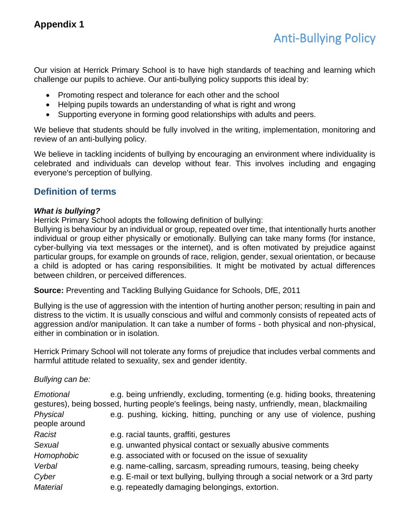Our vision at Herrick Primary School is to have high standards of teaching and learning which challenge our pupils to achieve. Our anti-bullying policy supports this ideal by:

- Promoting respect and tolerance for each other and the school
- Helping pupils towards an understanding of what is right and wrong
- Supporting everyone in forming good relationships with adults and peers.

We believe that students should be fully involved in the writing, implementation, monitoring and review of an anti-bullying policy.

We believe in tackling incidents of bullying by encouraging an environment where individuality is celebrated and individuals can develop without fear. This involves including and engaging everyone's perception of bullying.

# **Definition of terms**

#### *What is bullying?*

Herrick Primary School adopts the following definition of bullying:

Bullying is behaviour by an individual or group, repeated over time, that intentionally hurts another individual or group either physically or emotionally. Bullying can take many forms (for instance, cyber-bullying via text messages or the internet), and is often motivated by prejudice against particular groups, for example on grounds of race, religion, gender, sexual orientation, or because a child is adopted or has caring responsibilities. It might be motivated by actual differences between children, or perceived differences.

**Source:** Preventing and Tackling Bullying Guidance for Schools, DfE, 2011

Bullying is the use of aggression with the intention of hurting another person; resulting in pain and distress to the victim. It is usually conscious and wilful and commonly consists of repeated acts of aggression and/or manipulation. It can take a number of forms - both physical and non-physical, either in combination or in isolation.

Herrick Primary School will not tolerate any forms of prejudice that includes verbal comments and harmful attitude related to sexuality, sex and gender identity.

*Bullying can be:*

| Emotional                 | e.g. being unfriendly, excluding, tormenting (e.g. hiding books, threatening<br>gestures), being bossed, hurting people's feelings, being nasty, unfriendly, mean, blackmailing |
|---------------------------|---------------------------------------------------------------------------------------------------------------------------------------------------------------------------------|
| Physical<br>people around | e.g. pushing, kicking, hitting, punching or any use of violence, pushing                                                                                                        |
| Racist                    | e.g. racial taunts, graffiti, gestures                                                                                                                                          |
| Sexual                    | e.g. unwanted physical contact or sexually abusive comments                                                                                                                     |
| Homophobic                | e.g. associated with or focused on the issue of sexuality                                                                                                                       |
| Verbal                    | e.g. name-calling, sarcasm, spreading rumours, teasing, being cheeky                                                                                                            |
| Cyber                     | e.g. E-mail or text bullying, bullying through a social network or a 3rd party                                                                                                  |
| <b>Material</b>           | e.g. repeatedly damaging belongings, extortion.                                                                                                                                 |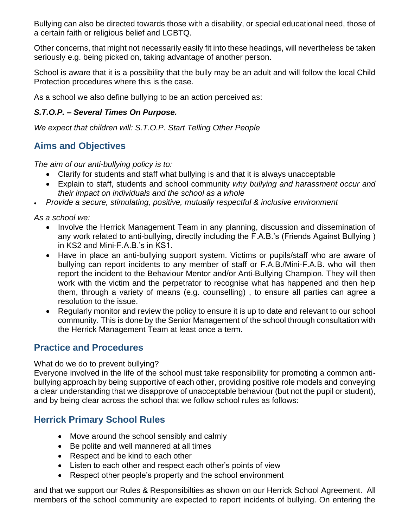Bullying can also be directed towards those with a disability, or special educational need, those of a certain faith or religious belief and LGBTQ.

Other concerns, that might not necessarily easily fit into these headings, will nevertheless be taken seriously e.g. being picked on, taking advantage of another person.

School is aware that it is a possibility that the bully may be an adult and will follow the local Child Protection procedures where this is the case.

As a school we also define bullying to be an action perceived as:

## *S.T.O.P. – Several Times On Purpose.*

*We expect that children will: S.T.O.P. Start Telling Other People*

# **Aims and Objectives**

*The aim of our anti-bullying policy is to:*

- Clarify for students and staff what bullying is and that it is always unacceptable
- Explain to staff, students and school community *why bullying and harassment occur and their impact on individuals and the school as a whole*
- *Provide a secure, stimulating, positive, mutually respectful & inclusive environment*

*As a school we:*

- Involve the Herrick Management Team in any planning, discussion and dissemination of any work related to anti-bullying, directly including the F.A.B.'s (Friends Against Bullying ) in KS2 and Mini-F.A.B.'s in KS1.
- Have in place an anti-bullying support system. Victims or pupils/staff who are aware of bullying can report incidents to any member of staff or F.A.B./Mini-F.A.B. who will then report the incident to the Behaviour Mentor and/or Anti-Bullying Champion. They will then work with the victim and the perpetrator to recognise what has happened and then help them, through a variety of means (e.g. counselling) , to ensure all parties can agree a resolution to the issue.
- Regularly monitor and review the policy to ensure it is up to date and relevant to our school community. This is done by the Senior Management of the school through consultation with the Herrick Management Team at least once a term.

# **Practice and Procedures**

What do we do to prevent bullying?

Everyone involved in the life of the school must take responsibility for promoting a common antibullying approach by being supportive of each other, providing positive role models and conveying a clear understanding that we disapprove of unacceptable behaviour (but not the pupil or student), and by being clear across the school that we follow school rules as follows:

# **Herrick Primary School Rules**

- Move around the school sensibly and calmly
- Be polite and well mannered at all times
- Respect and be kind to each other
- Listen to each other and respect each other's points of view
- Respect other people's property and the school environment

and that we support our Rules & Responsibilties as shown on our Herrick School Agreement. All members of the school community are expected to report incidents of bullying. On entering the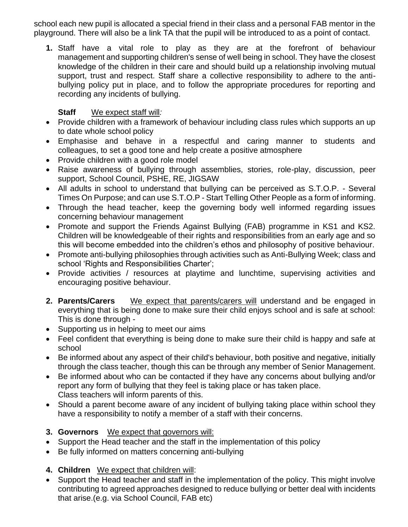school each new pupil is allocated a special friend in their class and a personal FAB mentor in the playground. There will also be a link TA that the pupil will be introduced to as a point of contact.

**1.** Staff have a vital role to play as they are at the forefront of behaviour management and supporting children's sense of well being in school. They have the closest knowledge of the children in their care and should build up a relationship involving mutual support, trust and respect. Staff share a collective responsibility to adhere to the antibullying policy put in place, and to follow the appropriate procedures for reporting and recording any incidents of bullying.

## **Staff** We expect staff will*:*

- Provide children with a framework of behaviour including class rules which supports an up to date whole school policy
- Emphasise and behave in a respectful and caring manner to students and colleagues, to set a good tone and help create a positive atmosphere
- Provide children with a good role model
- Raise awareness of bullying through assemblies, stories, role-play, discussion, peer support, School Council, PSHE, RE, JIGSAW
- All adults in school to understand that bullying can be perceived as S.T.O.P. Several Times On Purpose; and can use S.T.O.P - Start Telling Other People as a form of informing.
- Through the head teacher, keep the governing body well informed regarding issues concerning behaviour management
- Promote and support the Friends Against Bullying (FAB) programme in KS1 and KS2. Children will be knowledgeable of their rights and responsibilities from an early age and so this will become embedded into the children's ethos and philosophy of positive behaviour.
- Promote anti-bullying philosophies through activities such as Anti-Bullying Week; class and school 'Rights and Responsibilities Charter';
- Provide activities / resources at playtime and lunchtime, supervising activities and encouraging positive behaviour.
- **2. Parents/Carers** We expect that parents/carers will understand and be engaged in everything that is being done to make sure their child enjoys school and is safe at school: This is done through -
- Supporting us in helping to meet our aims
- Feel confident that everything is being done to make sure their child is happy and safe at school
- Be informed about any aspect of their child's behaviour, both positive and negative, initially through the class teacher, though this can be through any member of Senior Management.
- Be informed about who can be contacted if they have any concerns about bullying and/or report any form of bullying that they feel is taking place or has taken place. Class teachers will inform parents of this.
- Should a parent become aware of any incident of bullying taking place within school they have a responsibility to notify a member of a staff with their concerns.
- **3. Governors** We expect that governors will:
- Support the Head teacher and the staff in the implementation of this policy
- Be fully informed on matters concerning anti-bullying
- **4. Children** We expect that children will:
- Support the Head teacher and staff in the implementation of the policy. This might involve contributing to agreed approaches designed to reduce bullying or better deal with incidents that arise.(e.g. via School Council, FAB etc)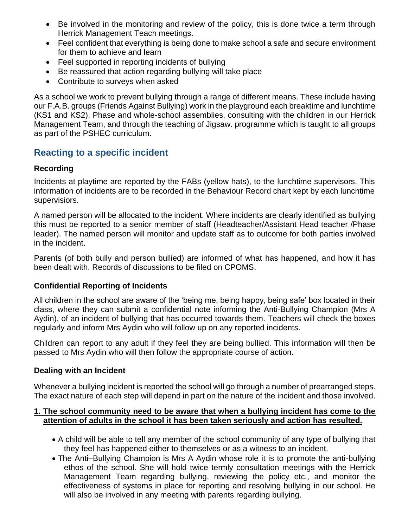- Be involved in the monitoring and review of the policy, this is done twice a term through Herrick Management Teach meetings.
- Feel confident that everything is being done to make school a safe and secure environment for them to achieve and learn
- Feel supported in reporting incidents of bullying
- Be reassured that action regarding bullying will take place
- Contribute to surveys when asked

As a school we work to prevent bullying through a range of different means. These include having our F.A.B. groups (Friends Against Bullying) work in the playground each breaktime and lunchtime (KS1 and KS2), Phase and whole-school assemblies, consulting with the children in our Herrick Management Team, and through the teaching of Jigsaw. programme which is taught to all groups as part of the PSHEC curriculum.

# **Reacting to a specific incident**

## **Recording**

Incidents at playtime are reported by the FABs (yellow hats), to the lunchtime supervisors. This information of incidents are to be recorded in the Behaviour Record chart kept by each lunchtime supervisiors.

A named person will be allocated to the incident. Where incidents are clearly identified as bullying this must be reported to a senior member of staff (Headteacher/Assistant Head teacher /Phase leader). The named person will monitor and update staff as to outcome for both parties involved in the incident.

Parents (of both bully and person bullied) are informed of what has happened, and how it has been dealt with. Records of discussions to be filed on CPOMS.

## **Confidential Reporting of Incidents**

All children in the school are aware of the 'being me, being happy, being safe' box located in their class, where they can submit a confidential note informing the Anti-Bullying Champion (Mrs A Aydin), of an incident of bullying that has occurred towards them. Teachers will check the boxes regularly and inform Mrs Aydin who will follow up on any reported incidents.

Children can report to any adult if they feel they are being bullied. This information will then be passed to Mrs Aydin who will then follow the appropriate course of action.

## **Dealing with an Incident**

Whenever a bullying incident is reported the school will go through a number of prearranged steps. The exact nature of each step will depend in part on the nature of the incident and those involved.

#### **1. The school community need to be aware that when a bullying incident has come to the attention of adults in the school it has been taken seriously and action has resulted.**

- A child will be able to tell any member of the school community of any type of bullying that they feel has happened either to themselves or as a witness to an incident.
- The Anti–Bullying Champion is Mrs A Aydin whose role it is to promote the anti-bullying ethos of the school. She will hold twice termly consultation meetings with the Herrick Management Team regarding bullying, reviewing the policy etc., and monitor the effectiveness of systems in place for reporting and resolving bullying in our school. He will also be involved in any meeting with parents regarding bullying.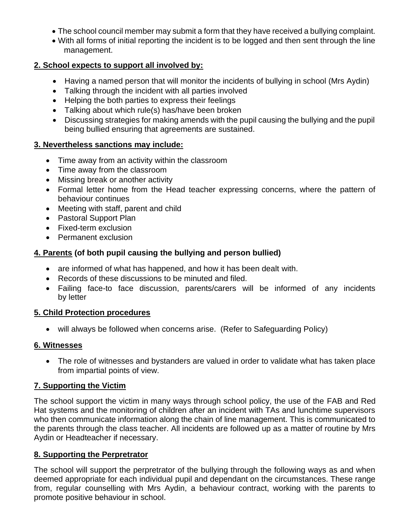- The school council member may submit a form that they have received a bullying complaint.
- With all forms of initial reporting the incident is to be logged and then sent through the line management.

### **2. School expects to support all involved by:**

- Having a named person that will monitor the incidents of bullying in school (Mrs Aydin)
- Talking through the incident with all parties involved
- Helping the both parties to express their feelings
- Talking about which rule(s) has/have been broken
- Discussing strategies for making amends with the pupil causing the bullying and the pupil being bullied ensuring that agreements are sustained.

#### **3. Nevertheless sanctions may include:**

- Time away from an activity within the classroom
- Time away from the classroom
- Missing break or another activity
- Formal letter home from the Head teacher expressing concerns, where the pattern of behaviour continues
- Meeting with staff, parent and child
- Pastoral Support Plan
- Fixed-term exclusion
- Permanent exclusion

## **4. Parents (of both pupil causing the bullying and person bullied)**

- are informed of what has happened, and how it has been dealt with.
- Records of these discussions to be minuted and filed.
- Failing face-to face discussion, parents/carers will be informed of any incidents by letter

#### **5. Child Protection procedures**

• will always be followed when concerns arise. (Refer to Safeguarding Policy)

#### **6. Witnesses**

• The role of witnesses and bystanders are valued in order to validate what has taken place from impartial points of view.

## **7. Supporting the Victim**

The school support the victim in many ways through school policy, the use of the FAB and Red Hat systems and the monitoring of children after an incident with TAs and lunchtime supervisors who then communicate information along the chain of line management. This is communicated to the parents through the class teacher. All incidents are followed up as a matter of routine by Mrs Aydin or Headteacher if necessary.

#### **8. Supporting the Perpretrator**

The school will support the perpretrator of the bullying through the following ways as and when deemed appropriate for each individual pupil and dependant on the circumstances. These range from, regular counselling with Mrs Aydin, a behaviour contract, working with the parents to promote positive behaviour in school.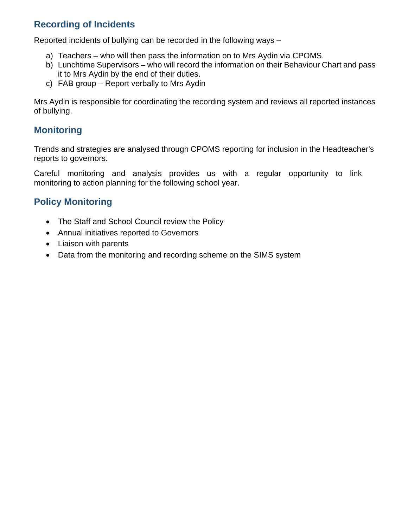# **Recording of Incidents**

Reported incidents of bullying can be recorded in the following ways –

- a) Teachers who will then pass the information on to Mrs Aydin via CPOMS.
- b) Lunchtime Supervisors who will record the information on their Behaviour Chart and pass it to Mrs Aydin by the end of their duties.
- c) FAB group Report verbally to Mrs Aydin

Mrs Aydin is responsible for coordinating the recording system and reviews all reported instances of bullying.

## **Monitoring**

Trends and strategies are analysed through CPOMS reporting for inclusion in the Headteacher's reports to governors.

Careful monitoring and analysis provides us with a regular opportunity to link monitoring to action planning for the following school year.

# **Policy Monitoring**

- The Staff and School Council review the Policy
- Annual initiatives reported to Governors
- Liaison with parents
- Data from the monitoring and recording scheme on the SIMS system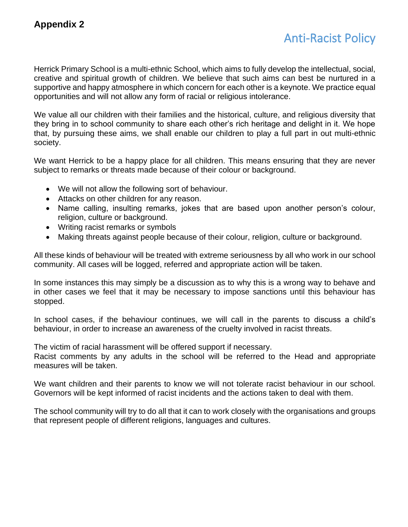# Anti-Racist Policy

Herrick Primary School is a multi-ethnic School, which aims to fully develop the intellectual, social, creative and spiritual growth of children. We believe that such aims can best be nurtured in a supportive and happy atmosphere in which concern for each other is a keynote. We practice equal opportunities and will not allow any form of racial or religious intolerance.

We value all our children with their families and the historical, culture, and religious diversity that they bring in to school community to share each other's rich heritage and delight in it. We hope that, by pursuing these aims, we shall enable our children to play a full part in out multi-ethnic society.

We want Herrick to be a happy place for all children. This means ensuring that they are never subject to remarks or threats made because of their colour or background.

- We will not allow the following sort of behaviour.
- Attacks on other children for any reason.
- Name calling, insulting remarks, jokes that are based upon another person's colour, religion, culture or background.
- Writing racist remarks or symbols
- Making threats against people because of their colour, religion, culture or background.

All these kinds of behaviour will be treated with extreme seriousness by all who work in our school community. All cases will be logged, referred and appropriate action will be taken.

In some instances this may simply be a discussion as to why this is a wrong way to behave and in other cases we feel that it may be necessary to impose sanctions until this behaviour has stopped.

In school cases, if the behaviour continues, we will call in the parents to discuss a child's behaviour, in order to increase an awareness of the cruelty involved in racist threats.

The victim of racial harassment will be offered support if necessary.

Racist comments by any adults in the school will be referred to the Head and appropriate measures will be taken.

We want children and their parents to know we will not tolerate racist behaviour in our school. Governors will be kept informed of racist incidents and the actions taken to deal with them.

The school community will try to do all that it can to work closely with the organisations and groups that represent people of different religions, languages and cultures.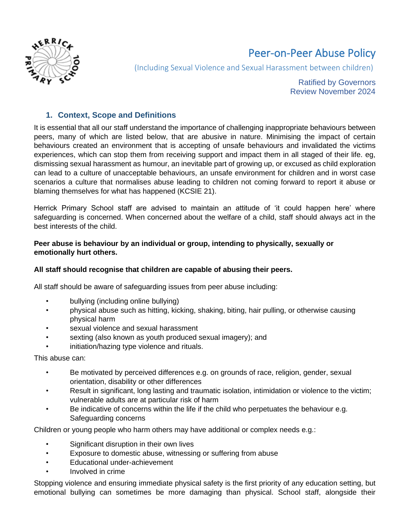

# Peer-on-Peer Abuse Policy

(Including Sexual Violence and Sexual Harassment between children)

Ratified by Governors Review November 2024

#### **1. Context, Scope and Definitions**

It is essential that all our staff understand the importance of challenging inappropriate behaviours between peers, many of which are listed below, that are abusive in nature. Minimising the impact of certain behaviours created an environment that is accepting of unsafe behaviours and invalidated the victims experiences, which can stop them from receiving support and impact them in all staged of their life. eg, dismissing sexual harassment as humour, an inevitable part of growing up, or excused as child exploration can lead to a culture of unacceptable behaviours, an unsafe environment for children and in worst case scenarios a culture that normalises abuse leading to children not coming forward to report it abuse or blaming themselves for what has happened (KCSIE 21).

Herrick Primary School staff are advised to maintain an attitude of 'it could happen here' where safeguarding is concerned. When concerned about the welfare of a child, staff should always act in the best interests of the child.

#### **Peer abuse is behaviour by an individual or group, intending to physically, sexually or emotionally hurt others.**

#### **All staff should recognise that children are capable of abusing their peers.**

All staff should be aware of safeguarding issues from peer abuse including:

- bullying (including online bullying)
- physical abuse such as hitting, kicking, shaking, biting, hair pulling, or otherwise causing physical harm
- sexual violence and sexual harassment
- sexting (also known as youth produced sexual imagery); and
- initiation/hazing type violence and rituals.

This abuse can:

- Be motivated by perceived differences e.g. on grounds of race, religion, gender, sexual orientation, disability or other differences
- Result in significant, long lasting and traumatic isolation, intimidation or violence to the victim; vulnerable adults are at particular risk of harm
- Be indicative of concerns within the life if the child who perpetuates the behaviour e.g. Safeguarding concerns

Children or young people who harm others may have additional or complex needs e.g.:

- Significant disruption in their own lives
- Exposure to domestic abuse, witnessing or suffering from abuse
- Educational under-achievement
- Involved in crime

Stopping violence and ensuring immediate physical safety is the first priority of any education setting, but emotional bullying can sometimes be more damaging than physical. School staff, alongside their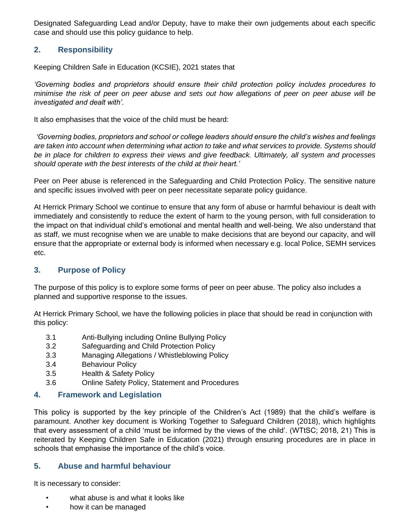Designated Safeguarding Lead and/or Deputy, have to make their own judgements about each specific case and should use this policy guidance to help.

#### **2. Responsibility**

Keeping Children Safe in Education (KCSIE), 2021 states that

*'Governing bodies and proprietors should ensure their child protection policy includes procedures to minimise the risk of peer on peer abuse and sets out how allegations of peer on peer abuse will be investigated and dealt with'.*

It also emphasises that the voice of the child must be heard:

*'Governing bodies, proprietors and school or college leaders should ensure the child's wishes and feelings are taken into account when determining what action to take and what services to provide. Systems should be in place for children to express their views and give feedback. Ultimately, all system and processes should operate with the best interests of the child at their heart.'*

Peer on Peer abuse is referenced in the Safeguarding and Child Protection Policy. The sensitive nature and specific issues involved with peer on peer necessitate separate policy guidance.

At Herrick Primary School we continue to ensure that any form of abuse or harmful behaviour is dealt with immediately and consistently to reduce the extent of harm to the young person, with full consideration to the impact on that individual child's emotional and mental health and well-being. We also understand that as staff, we must recognise when we are unable to make decisions that are beyond our capacity, and will ensure that the appropriate or external body is informed when necessary e.g. local Police, SEMH services etc.

#### **3. Purpose of Policy**

The purpose of this policy is to explore some forms of peer on peer abuse. The policy also includes a planned and supportive response to the issues.

At Herrick Primary School, we have the following policies in place that should be read in conjunction with this policy:

- 3.1 Anti-Bullying including Online Bullying Policy
- 3.2 Safeguarding and Child Protection Policy
- 3.3 Managing Allegations / Whistleblowing Policy
- 3.4 Behaviour Policy
- 3.5 Health & Safety Policy
- 3.6 Online Safety Policy, Statement and Procedures

#### **4. Framework and Legislation**

This policy is supported by the key principle of the Children's Act (1989) that the child's welfare is paramount. Another key document is Working Together to Safeguard Children (2018), which highlights that every assessment of a child 'must be informed by the views of the child'. (WTtSC; 2018, 21) This is reiterated by Keeping Children Safe in Education (2021) through ensuring procedures are in place in schools that emphasise the importance of the child's voice.

#### **5. Abuse and harmful behaviour**

It is necessary to consider:

- what abuse is and what it looks like
- how it can be managed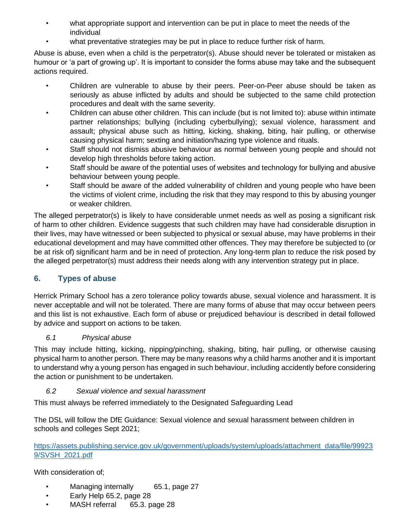- what appropriate support and intervention can be put in place to meet the needs of the individual
- what preventative strategies may be put in place to reduce further risk of harm.

Abuse is abuse, even when a child is the perpetrator(s). Abuse should never be tolerated or mistaken as humour or 'a part of growing up'. It is important to consider the forms abuse may take and the subsequent actions required.

- Children are vulnerable to abuse by their peers. Peer-on-Peer abuse should be taken as seriously as abuse inflicted by adults and should be subjected to the same child protection procedures and dealt with the same severity.
- Children can abuse other children. This can include (but is not limited to): abuse within intimate partner relationships; bullying (including cyberbullying); sexual violence, harassment and assault; physical abuse such as hitting, kicking, shaking, biting, hair pulling, or otherwise causing physical harm; sexting and initiation/hazing type violence and rituals.
- Staff should not dismiss abusive behaviour as normal between young people and should not develop high thresholds before taking action.
- Staff should be aware of the potential uses of websites and technology for bullying and abusive behaviour between young people.
- Staff should be aware of the added vulnerability of children and young people who have been the victims of violent crime, including the risk that they may respond to this by abusing younger or weaker children.

The alleged perpetrator(s) is likely to have considerable unmet needs as well as posing a significant risk of harm to other children. Evidence suggests that such children may have had considerable disruption in their lives, may have witnessed or been subjected to physical or sexual abuse, may have problems in their educational development and may have committed other offences. They may therefore be subjected to (or be at risk of) significant harm and be in need of protection. Any long-term plan to reduce the risk posed by the alleged perpetrator(s) must address their needs along with any intervention strategy put in place.

# **6. Types of abuse**

Herrick Primary School has a zero tolerance policy towards abuse, sexual violence and harassment. It is never acceptable and will not be tolerated. There are many forms of abuse that may occur between peers and this list is not exhaustive. Each form of abuse or prejudiced behaviour is described in detail followed by advice and support on actions to be taken.

## *6.1 Physical abuse*

This may include hitting, kicking, nipping/pinching, shaking, biting, hair pulling, or otherwise causing physical harm to another person. There may be many reasons why a child harms another and it is important to understand why a young person has engaged in such behaviour, including accidently before considering the action or punishment to be undertaken.

## *6.2 Sexual violence and sexual harassment*

This must always be referred immediately to the Designated Safeguarding Lead

The DSL will follow the DfE Guidance: Sexual violence and sexual harassment between children in schools and colleges Sept 2021;

[https://assets.publishing.service.gov.uk/government/uploads/system/uploads/attachment\\_data/file/99923](https://assets.publishing.service.gov.uk/government/uploads/system/uploads/attachment_data/file/999239/SVSH_2021.pdf) [9/SVSH\\_2021.pdf](https://assets.publishing.service.gov.uk/government/uploads/system/uploads/attachment_data/file/999239/SVSH_2021.pdf)

With consideration of;

- Managing internally 65.1, page 27
- Early Help 65.2, page 28
- MASH referral 65.3. page 28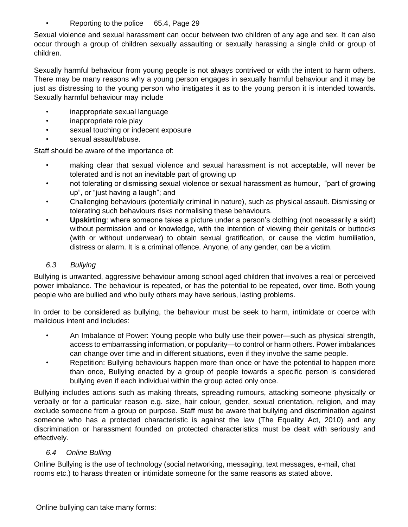• Reporting to the police 65.4, Page 29

Sexual violence and sexual harassment can occur between two children of any age and sex. It can also occur through a group of children sexually assaulting or sexually harassing a single child or group of children.

Sexually harmful behaviour from young people is not always contrived or with the intent to harm others. There may be many reasons why a young person engages in sexually harmful behaviour and it may be just as distressing to the young person who instigates it as to the young person it is intended towards. Sexually harmful behaviour may include

- inappropriate sexual language
- inappropriate role play
- sexual touching or indecent exposure
- sexual assault/abuse.

Staff should be aware of the importance of:

- making clear that sexual violence and sexual harassment is not acceptable, will never be tolerated and is not an inevitable part of growing up
- not tolerating or dismissing sexual violence or sexual harassment as humour, "part of growing up", or "just having a laugh"; and
- Challenging behaviours (potentially criminal in nature), such as physical assault. Dismissing or tolerating such behaviours risks normalising these behaviours.
- **Upskirting**: where someone takes a picture under a person's clothing (not necessarily a skirt) without permission and or knowledge, with the intention of viewing their genitals or buttocks (with or without underwear) to obtain sexual gratification, or cause the victim humiliation, distress or alarm. It is a criminal offence. Anyone, of any gender, can be a victim.

#### *6.3 Bullying*

Bullying is unwanted, aggressive behaviour among school aged children that involves a real or perceived power imbalance. The behaviour is repeated, or has the potential to be repeated, over time. Both young people who are bullied and who bully others may have serious, lasting problems.

In order to be considered as bullying, the behaviour must be seek to harm, intimidate or coerce with malicious intent and includes:

- An Imbalance of Power: Young people who bully use their power—such as physical strength, access to embarrassing information, or popularity—to control or harm others. Power imbalances can change over time and in different situations, even if they involve the same people.
- Repetition: Bullying behaviours happen more than once or have the potential to happen more than once, Bullying enacted by a group of people towards a specific person is considered bullying even if each individual within the group acted only once.

Bullying includes actions such as making threats, spreading rumours, attacking someone physically or verbally or for a particular reason e.g. size, hair colour, gender, sexual orientation, religion, and may exclude someone from a group on purpose. Staff must be aware that bullying and discrimination against someone who has a protected characteristic is against the law (The Equality Act, 2010) and any discrimination or harassment founded on protected characteristics must be dealt with seriously and effectively.

## *6.4 Online Bulling*

Online Bullying is the use of technology (social networking, messaging, text messages, e-mail, chat rooms etc.) to harass threaten or intimidate someone for the same reasons as stated above.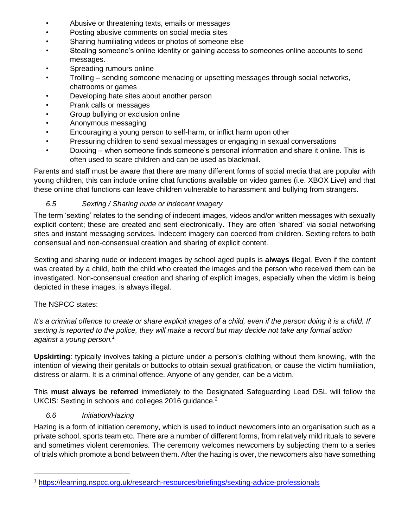- Abusive or threatening texts, emails or messages
- Posting abusive comments on social media sites
- Sharing humiliating videos or photos of someone else
- Stealing someone's online identity or gaining access to someones online accounts to send messages.
- Spreading rumours online
- Trolling sending someone menacing or upsetting messages through social networks, chatrooms or games
- Developing hate sites about another person
- Prank calls or messages
- Group bullying or exclusion online
- Anonymous messaging
- Encouraging a young person to self-harm, or inflict harm upon other
- Pressuring children to send sexual messages or engaging in sexual conversations
- Doxxing when someone finds someone's personal information and share it online. This is often used to scare children and can be used as blackmail.

Parents and staff must be aware that there are many different forms of social media that are popular with young children, this can include online chat functions available on video games (i.e. XBOX Live) and that these online chat functions can leave children vulnerable to harassment and bullying from strangers.

#### *6.5 Sexting / Sharing nude or indecent imagery*

The term 'sexting' relates to the sending of indecent images, videos and/or written messages with sexually explicit content; these are created and sent electronically. They are often 'shared' via social networking sites and instant messaging services. Indecent imagery can coerced from children. Sexting refers to both consensual and non-consensual creation and sharing of explicit content.

Sexting and sharing nude or indecent images by school aged pupils is **always** illegal. Even if the content was created by a child, both the child who created the images and the person who received them can be investigated. Non-consensual creation and sharing of explicit images, especially when the victim is being depicted in these images, is always illegal.

## The NSPCC states:

*It's a criminal offence to create or share explicit images of a child, even if the person doing it is a child. If sexting is reported to the police, they will make a record but may decide not take any formal action against a young person.<sup>1</sup>*

**Upskirting**: typically involves taking a picture under a person's clothing without them knowing, with the intention of viewing their genitals or buttocks to obtain sexual gratification, or cause the victim humiliation, distress or alarm. It is a criminal offence. Anyone of any gender, can be a victim.

This **must always be referred** immediately to the Designated Safeguarding Lead DSL will follow the UKCIS: Sexting in schools and colleges 2016 guidance.<sup>2</sup>

## *6.6 Initiation/Hazing*

Hazing is a form of initiation ceremony, which is used to induct newcomers into an organisation such as a private school, sports team etc. There are a number of different forms, from relatively mild rituals to severe and sometimes violent ceremonies. The ceremony welcomes newcomers by subjecting them to a series of trials which promote a bond between them. After the hazing is over, the newcomers also have something

<sup>1</sup> <https://learning.nspcc.org.uk/research-resources/briefings/sexting-advice-professionals>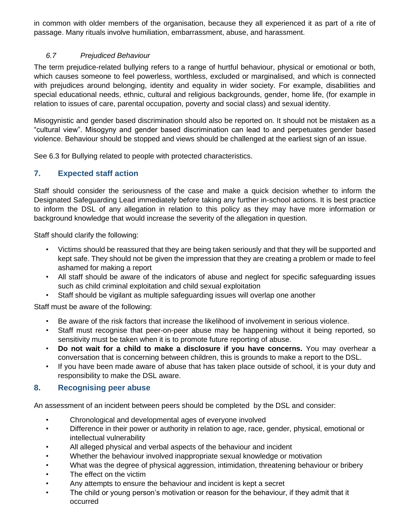in common with older members of the organisation, because they all experienced it as part of a rite of passage. Many rituals involve humiliation, embarrassment, abuse, and harassment.

#### *6.7 Prejudiced Behaviour*

The term prejudice-related bullying refers to a range of hurtful behaviour, physical or emotional or both, which causes someone to feel powerless, worthless, excluded or marginalised, and which is connected with prejudices around belonging, identity and equality in wider society. For example, disabilities and special educational needs, ethnic, cultural and religious backgrounds, gender, home life, (for example in relation to issues of care, parental occupation, poverty and social class) and sexual identity.

Misogynistic and gender based discrimination should also be reported on. It should not be mistaken as a "cultural view". Misogyny and gender based discrimination can lead to and perpetuates gender based violence. Behaviour should be stopped and views should be challenged at the earliest sign of an issue.

See 6.3 for Bullying related to people with protected characteristics.

## **7. Expected staff action**

Staff should consider the seriousness of the case and make a quick decision whether to inform the Designated Safeguarding Lead immediately before taking any further in-school actions. It is best practice to inform the DSL of any allegation in relation to this policy as they may have more information or background knowledge that would increase the severity of the allegation in question.

Staff should clarify the following:

- Victims should be reassured that they are being taken seriously and that they will be supported and kept safe. They should not be given the impression that they are creating a problem or made to feel ashamed for making a report
- All staff should be aware of the indicators of abuse and neglect for specific safeguarding issues such as child criminal exploitation and child sexual exploitation
- Staff should be vigilant as multiple safeguarding issues will overlap one another

Staff must be aware of the following:

- Be aware of the risk factors that increase the likelihood of involvement in serious violence.
- Staff must recognise that peer-on-peer abuse may be happening without it being reported, so sensitivity must be taken when it is to promote future reporting of abuse.
- **Do not wait for a child to make a disclosure if you have concerns.** You may overhear a conversation that is concerning between children, this is grounds to make a report to the DSL.
- If you have been made aware of abuse that has taken place outside of school, it is your duty and responsibility to make the DSL aware.

## **8. Recognising peer abuse**

An assessment of an incident between peers should be completed by the DSL and consider:

- Chronological and developmental ages of everyone involved
- Difference in their power or authority in relation to age, race, gender, physical, emotional or intellectual vulnerability
- All alleged physical and verbal aspects of the behaviour and incident
- Whether the behaviour involved inappropriate sexual knowledge or motivation
- What was the degree of physical aggression, intimidation, threatening behaviour or bribery
- The effect on the victim
- Any attempts to ensure the behaviour and incident is kept a secret
- The child or young person's motivation or reason for the behaviour, if they admit that it occurred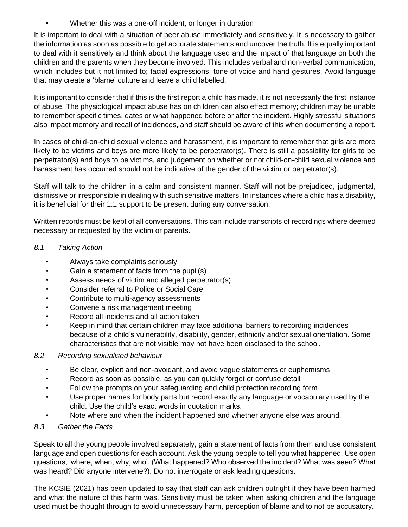• Whether this was a one-off incident, or longer in duration

It is important to deal with a situation of peer abuse immediately and sensitively. It is necessary to gather the information as soon as possible to get accurate statements and uncover the truth. It is equally important to deal with it sensitively and think about the language used and the impact of that language on both the children and the parents when they become involved. This includes verbal and non-verbal communication, which includes but it not limited to; facial expressions, tone of voice and hand gestures. Avoid language that may create a 'blame' culture and leave a child labelled.

It is important to consider that if this is the first report a child has made, it is not necessarily the first instance of abuse. The physiological impact abuse has on children can also effect memory; children may be unable to remember specific times, dates or what happened before or after the incident. Highly stressful situations also impact memory and recall of incidences, and staff should be aware of this when documenting a report.

In cases of child-on-child sexual violence and harassment, it is important to remember that girls are more likely to be victims and boys are more likely to be perpetrator(s). There is still a possibility for girls to be perpetrator(s) and boys to be victims, and judgement on whether or not child-on-child sexual violence and harassment has occurred should not be indicative of the gender of the victim or perpetrator(s).

Staff will talk to the children in a calm and consistent manner. Staff will not be prejudiced, judgmental, dismissive or irresponsible in dealing with such sensitive matters. In instances where a child has a disability, it is beneficial for their 1:1 support to be present during any conversation.

Written records must be kept of all conversations. This can include transcripts of recordings where deemed necessary or requested by the victim or parents.

#### *8.1 Taking Action*

- Always take complaints seriously
- Gain a statement of facts from the pupil(s)
- Assess needs of victim and alleged perpetrator(s)
- Consider referral to Police or Social Care
- Contribute to multi-agency assessments
- Convene a risk management meeting
- Record all incidents and all action taken
- Keep in mind that certain children may face additional barriers to recording incidences because of a child's vulnerability, disability, gender, ethnicity and/or sexual orientation. Some characteristics that are not visible may not have been disclosed to the school.

#### *8.2 Recording sexualised behaviour*

- Be clear, explicit and non-avoidant, and avoid vague statements or euphemisms
- Record as soon as possible, as you can quickly forget or confuse detail
- Follow the prompts on your safeguarding and child protection recording form
- Use proper names for body parts but record exactly any language or vocabulary used by the child. Use the child's exact words in quotation marks.
- Note where and when the incident happened and whether anyone else was around.

#### *8.3 Gather the Facts*

Speak to all the young people involved separately, gain a statement of facts from them and use consistent language and open questions for each account. Ask the young people to tell you what happened. Use open questions, 'where, when, why, who'. (What happened? Who observed the incident? What was seen? What was heard? Did anyone intervene?). Do not interrogate or ask leading questions.

The KCSIE (2021) has been updated to say that staff can ask children outright if they have been harmed and what the nature of this harm was. Sensitivity must be taken when asking children and the language used must be thought through to avoid unnecessary harm, perception of blame and to not be accusatory.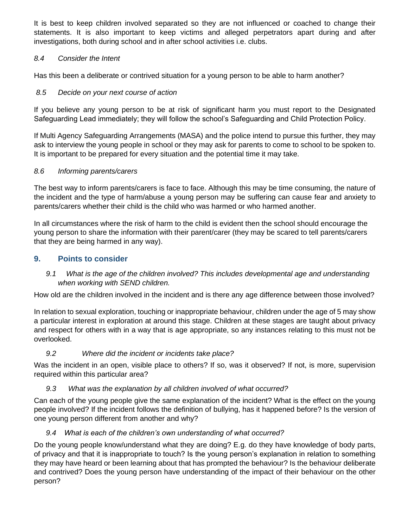It is best to keep children involved separated so they are not influenced or coached to change their statements. It is also important to keep victims and alleged perpetrators apart during and after investigations, both during school and in after school activities i.e. clubs.

#### *8.4 Consider the Intent*

Has this been a deliberate or contrived situation for a young person to be able to harm another?

#### *8.5 Decide on your next course of action*

If you believe any young person to be at risk of significant harm you must report to the Designated Safeguarding Lead immediately; they will follow the school's Safeguarding and Child Protection Policy.

If Multi Agency Safeguarding Arrangements (MASA) and the police intend to pursue this further, they may ask to interview the young people in school or they may ask for parents to come to school to be spoken to. It is important to be prepared for every situation and the potential time it may take.

#### *8.6 Informing parents/carers*

The best way to inform parents/carers is face to face. Although this may be time consuming, the nature of the incident and the type of harm/abuse a young person may be suffering can cause fear and anxiety to parents/carers whether their child is the child who was harmed or who harmed another.

In all circumstances where the risk of harm to the child is evident then the school should encourage the young person to share the information with their parent/carer (they may be scared to tell parents/carers that they are being harmed in any way).

#### **9. Points to consider**

*9.1 What is the age of the children involved? This includes developmental age and understanding when working with SEND children.*

How old are the children involved in the incident and is there any age difference between those involved?

In relation to sexual exploration, touching or inappropriate behaviour, children under the age of 5 may show a particular interest in exploration at around this stage. Children at these stages are taught about privacy and respect for others with in a way that is age appropriate, so any instances relating to this must not be overlooked.

#### *9.2 Where did the incident or incidents take place?*

Was the incident in an open, visible place to others? If so, was it observed? If not, is more, supervision required within this particular area?

#### *9.3 What was the explanation by all children involved of what occurred?*

Can each of the young people give the same explanation of the incident? What is the effect on the young people involved? If the incident follows the definition of bullying, has it happened before? Is the version of one young person different from another and why?

## *9.4 What is each of the children's own understanding of what occurred?*

Do the young people know/understand what they are doing? E.g. do they have knowledge of body parts, of privacy and that it is inappropriate to touch? Is the young person's explanation in relation to something they may have heard or been learning about that has prompted the behaviour? Is the behaviour deliberate and contrived? Does the young person have understanding of the impact of their behaviour on the other person?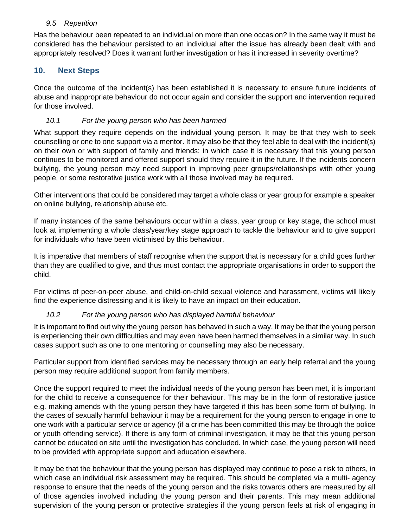#### *9.5 Repetition*

Has the behaviour been repeated to an individual on more than one occasion? In the same way it must be considered has the behaviour persisted to an individual after the issue has already been dealt with and appropriately resolved? Does it warrant further investigation or has it increased in severity overtime?

## **10. Next Steps**

Once the outcome of the incident(s) has been established it is necessary to ensure future incidents of abuse and inappropriate behaviour do not occur again and consider the support and intervention required for those involved.

#### *10.1 For the young person who has been harmed*

What support they require depends on the individual young person. It may be that they wish to seek counselling or one to one support via a mentor. It may also be that they feel able to deal with the incident(s) on their own or with support of family and friends; in which case it is necessary that this young person continues to be monitored and offered support should they require it in the future. If the incidents concern bullying, the young person may need support in improving peer groups/relationships with other young people, or some restorative justice work with all those involved may be required.

Other interventions that could be considered may target a whole class or year group for example a speaker on online bullying, relationship abuse etc.

If many instances of the same behaviours occur within a class, year group or key stage, the school must look at implementing a whole class/year/key stage approach to tackle the behaviour and to give support for individuals who have been victimised by this behaviour.

It is imperative that members of staff recognise when the support that is necessary for a child goes further than they are qualified to give, and thus must contact the appropriate organisations in order to support the child.

For victims of peer-on-peer abuse, and child-on-child sexual violence and harassment, victims will likely find the experience distressing and it is likely to have an impact on their education.

#### *10.2 For the young person who has displayed harmful behaviour*

It is important to find out why the young person has behaved in such a way. It may be that the young person is experiencing their own difficulties and may even have been harmed themselves in a similar way. In such cases support such as one to one mentoring or counselling may also be necessary.

Particular support from identified services may be necessary through an early help referral and the young person may require additional support from family members.

Once the support required to meet the individual needs of the young person has been met, it is important for the child to receive a consequence for their behaviour. This may be in the form of restorative justice e.g. making amends with the young person they have targeted if this has been some form of bullying. In the cases of sexually harmful behaviour it may be a requirement for the young person to engage in one to one work with a particular service or agency (if a crime has been committed this may be through the police or youth offending service). If there is any form of criminal investigation, it may be that this young person cannot be educated on site until the investigation has concluded. In which case, the young person will need to be provided with appropriate support and education elsewhere.

It may be that the behaviour that the young person has displayed may continue to pose a risk to others, in which case an individual risk assessment may be required. This should be completed via a multi- agency response to ensure that the needs of the young person and the risks towards others are measured by all of those agencies involved including the young person and their parents. This may mean additional supervision of the young person or protective strategies if the young person feels at risk of engaging in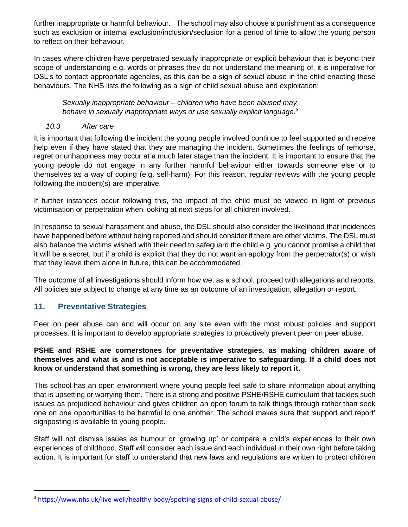further inappropriate or harmful behaviour. The school may also choose a punishment as a consequence such as exclusion or internal exclusion/inclusion/seclusion for a period of time to allow the young person to reflect on their behaviour.

In cases where children have perpetrated sexually inappropriate or explicit behaviour that is beyond their scope of understanding e.g. words or phrases they do not understand the meaning of, it is imperative for DSL's to contact appropriate agencies, as this can be a sign of sexual abuse in the child enacting these behaviours. The NHS lists the following as a sign of child sexual abuse and exploitation:

*Sexually inappropriate behaviour – children who have been abused may behave in sexually inappropriate ways or use sexually explicit language.<sup>3</sup>*

#### *10.3 After care*

It is important that following the incident the young people involved continue to feel supported and receive help even if they have stated that they are managing the incident. Sometimes the feelings of remorse, regret or unhappiness may occur at a much later stage than the incident. It is important to ensure that the young people do not engage in any further harmful behaviour either towards someone else or to themselves as a way of coping (e.g. self-harm). For this reason, regular reviews with the young people following the incident(s) are imperative.

If further instances occur following this, the impact of the child must be viewed in light of previous victimisation or perpetration when looking at next steps for all children involved.

In response to sexual harassment and abuse, the DSL should also consider the likelihood that incidences have happened before without being reported and should consider if there are other victims. The DSL must also balance the victims wished with their need to safeguard the child e.g. you cannot promise a child that it will be a secret, but if a child is explicit that they do not want an apology from the perpetrator(s) or wish that they leave them alone in future, this can be accommodated.

The outcome of all investigations should inform how we, as a school, proceed with allegations and reports. All policies are subject to change at any time as an outcome of an investigation, allegation or report.

#### **11. Preventative Strategies**

Peer on peer abuse can and will occur on any site even with the most robust policies and support processes. It is important to develop appropriate strategies to proactively prevent peer on peer abuse.

#### **PSHE and RSHE are cornerstones for preventative strategies, as making children aware of themselves and what is and is not acceptable is imperative to safeguarding. If a child does not know or understand that something is wrong, they are less likely to report it.**

This school has an open environment where young people feel safe to share information about anything that is upsetting or worrying them. There is a strong and positive PSHE/RSHE curriculum that tackles such issues as prejudiced behaviour and gives children an open forum to talk things through rather than seek one on one opportunities to be harmful to one another. The school makes sure that 'support and report' signposting is available to young people.

Staff will not dismiss issues as humour or 'growing up' or compare a child's experiences to their own experiences of childhood. Staff will consider each issue and each individual in their own right before taking action. It is important for staff to understand that new laws and regulations are written to protect children

<sup>&</sup>lt;sup>3</sup> <https://www.nhs.uk/live-well/healthy-body/spotting-signs-of-child-sexual-abuse/>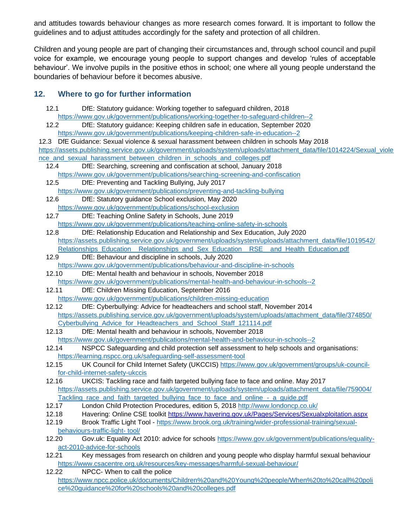and attitudes towards behaviour changes as more research comes forward. It is important to follow the guidelines and to adjust attitudes accordingly for the safety and protection of all children.

Children and young people are part of changing their circumstances and, through school council and pupil voice for example, we encourage young people to support changes and develop 'rules of acceptable behaviour'. We involve pupils in the positive ethos in school; one where all young people understand the boundaries of behaviour before it becomes abusive.

#### **12. Where to go for further information**

- 12.1 DfE: Statutory guidance: Working together to safeguard children, 2018 <https://www.gov.uk/government/publications/working-together-to-safeguard-children--2>
- 12.2 DfE: Statutory guidance: Keeping children safe in education, September 2020 <https://www.gov.uk/government/publications/keeping-children-safe-in-education--2>

12.3 DfE Guidance: Sexual violence & sexual harassment between children in schools May 2018 [https://assets.publishing.service.gov.uk/government/uploads/system/uploads/attachment\\_data/file/1014224/Sexual\\_viole](https://assets.publishing.service.gov.uk/government/uploads/system/uploads/attachment_data/file/1014224/Sexual_violence_and_sexual_harassment_between_children_in_schools_and_colleges.pdf) nce and sexual harassment between children in schools and colleges.pdf

12.4 DfE: Searching, screening and confiscation at school, January 2018 <https://www.gov.uk/government/publications/searching-screening-and-confiscation>

- 12.5 DfE: Preventing and Tackling Bullying, July 2017 <https://www.gov.uk/government/publications/preventing-and-tackling-bullying>
- 12.6 DfE: Statutory guidance School exclusion, May 2020 <https://www.gov.uk/government/publications/school-exclusion>
- 12.7 DfE: Teaching Online Safety in Schools, June 2019 <https://www.gov.uk/government/publications/teaching-online-safety-in-schools>

12.8 DfE: Relationship Education and Relationship and Sex Education, July 2020 [https://assets.publishing.service.gov.uk/government/uploads/system/uploads/attachment\\_data/file/1019542/](https://assets.publishing.service.gov.uk/government/uploads/system/uploads/attachment_data/file/1019542/Relationships_Education__Relationships_and_Sex_Education__RSE__and_Health_Education.pdf) [Relationships\\_Education\\_\\_Relationships\\_and\\_Sex\\_Education\\_\\_RSE\\_\\_and\\_Health\\_Education.pdf](https://assets.publishing.service.gov.uk/government/uploads/system/uploads/attachment_data/file/1019542/Relationships_Education__Relationships_and_Sex_Education__RSE__and_Health_Education.pdf)

- 12.9 DfE: Behaviour and discipline in schools, July 2020 <https://www.gov.uk/government/publications/behaviour-and-discipline-in-schools>
- 12.10 DfE: Mental health and behaviour in schools, November 2018 <https://www.gov.uk/government/publications/mental-health-and-behaviour-in-schools--2>
- 12.11 DfE: Children Missing Education, September 2016 <https://www.gov.uk/government/publications/children-missing-education>
- 12.12 DfE: Cyberbullying: Advice for headteachers and school staff, November 2014 [https://assets.publishing.service.gov.uk/government/uploads/system/uploads/attachment\\_data/file/374850/](https://assets.publishing.service.gov.uk/government/uploads/system/uploads/attachment_data/file/374850/Cyberbullying_Advice_for_Headteachers_and_School_Staff_121114.pdf) Cyberbullying Advice for Headteachers and School Staff 121114.pdf
- 12.13 DfE: Mental health and behaviour in schools, November 2018 <https://www.gov.uk/government/publications/mental-health-and-behaviour-in-schools--2>
- 12.14 NSPCC Safeguarding and child protection self assessment to help schools and organisations: <https://learning.nspcc.org.uk/safeguarding-self-assessment-tool>
- 12.15 UK Council for Child Internet Safety (UKCCIS) [https://www.gov.uk/government/groups/uk-council](https://www.gov.uk/government/groups/uk-council-for-child-internet-safety-ukccis)[for-child-internet-safety-ukccis](https://www.gov.uk/government/groups/uk-council-for-child-internet-safety-ukccis)
- 12.16 UKCIS: Tackling race and faith targeted bullying face to face and online. May 2017 [https://assets.publishing.service.gov.uk/government/uploads/system/uploads/attachment\\_data/file/759004/](https://assets.publishing.service.gov.uk/government/uploads/system/uploads/attachment_data/file/759004/Tackling_race_and_faith_targeted_bullying_face_to_face_and_online_-_a_guide.pdf) Tackling race and faith targeted bullying face to face and online - a guide.pdf
- 12.17 London Child Protection Procedures, edition 5, 2018<http://www.londoncp.co.uk/>
- 12.18 Havering: Online CSE toolkit<https://www.havering.gov.uk/Pages/Services/Sexualxploitation.aspx>
- 12.19 Brook Traffic Light Tool [https://www.brook.org.uk/training/wider-professional-training/sexual](https://www.brook.org.uk/training/wider-professional-training/sexual-behaviours-traffic-light-%20tool/)[behaviours-traffic-light-](https://www.brook.org.uk/training/wider-professional-training/sexual-behaviours-traffic-light-%20tool/) tool/
- 12.20 Gov.uk: Equality Act 2010: advice for schools [https://www.gov.uk/government/publications/equality](https://www.gov.uk/government/publications/equality-act-2010-advice-for-schools)[act-2010-advice-for-schools](https://www.gov.uk/government/publications/equality-act-2010-advice-for-schools)
- 12.21 Key messages from research on children and young people who display harmful sexual behaviour <https://www.csacentre.org.uk/resources/key-messages/harmful-sexual-behaviour/>
- 12.22 NPCC- When to call the police [https://www.npcc.police.uk/documents/Children%20and%20Young%20people/When%20to%20call%20poli](https://www.npcc.police.uk/documents/Children%20and%20Young%20people/When%20to%20call%20police%20guidance%20for%20schools%20and%20colleges.pdf) [ce%20guidance%20for%20schools%20and%20colleges.pdf](https://www.npcc.police.uk/documents/Children%20and%20Young%20people/When%20to%20call%20police%20guidance%20for%20schools%20and%20colleges.pdf)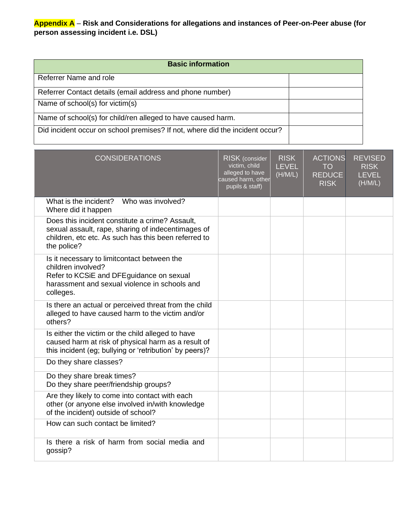#### **Appendix A** – **Risk and Considerations for allegations and instances of Peer-on-Peer abuse (for person assessing incident i.e. DSL)**

| <b>Basic information</b>                                                     |  |
|------------------------------------------------------------------------------|--|
| Referrer Name and role                                                       |  |
| Referrer Contact details (email address and phone number)                    |  |
| Name of school(s) for victim(s)                                              |  |
| Name of school(s) for child/ren alleged to have caused harm.                 |  |
| Did incident occur on school premises? If not, where did the incident occur? |  |

| <b>CONSIDERATIONS</b>                                                                                                                                                        | RISK (consider<br>victim, child<br>alleged to have<br>caused harm, other<br>pupils & staff) | <b>RISK</b><br><b>LEVEL</b><br>(H/M/L) | <b>ACTIONS</b><br><b>TO</b><br><b>REDUCE</b><br><b>RISK</b> | <b>REVISED</b><br><b>RISK</b><br><b>LEVEL</b><br>(H/M/L) |
|------------------------------------------------------------------------------------------------------------------------------------------------------------------------------|---------------------------------------------------------------------------------------------|----------------------------------------|-------------------------------------------------------------|----------------------------------------------------------|
| Who was involved?<br>What is the incident?<br>Where did it happen                                                                                                            |                                                                                             |                                        |                                                             |                                                          |
| Does this incident constitute a crime? Assault,<br>sexual assault, rape, sharing of indecentimages of<br>children, etc etc. As such has this been referred to<br>the police? |                                                                                             |                                        |                                                             |                                                          |
| Is it necessary to limitcontact between the<br>children involved?<br>Refer to KCSiE and DFEguidance on sexual<br>harassment and sexual violence in schools and<br>colleges.  |                                                                                             |                                        |                                                             |                                                          |
| Is there an actual or perceived threat from the child<br>alleged to have caused harm to the victim and/or<br>others?                                                         |                                                                                             |                                        |                                                             |                                                          |
| Is either the victim or the child alleged to have<br>caused harm at risk of physical harm as a result of<br>this incident (eg; bullying or 'retribution' by peers)?          |                                                                                             |                                        |                                                             |                                                          |
| Do they share classes?                                                                                                                                                       |                                                                                             |                                        |                                                             |                                                          |
| Do they share break times?<br>Do they share peer/friendship groups?                                                                                                          |                                                                                             |                                        |                                                             |                                                          |
| Are they likely to come into contact with each<br>other (or anyone else involved in/with knowledge<br>of the incident) outside of school?                                    |                                                                                             |                                        |                                                             |                                                          |
| How can such contact be limited?                                                                                                                                             |                                                                                             |                                        |                                                             |                                                          |
| Is there a risk of harm from social media and<br>gossip?                                                                                                                     |                                                                                             |                                        |                                                             |                                                          |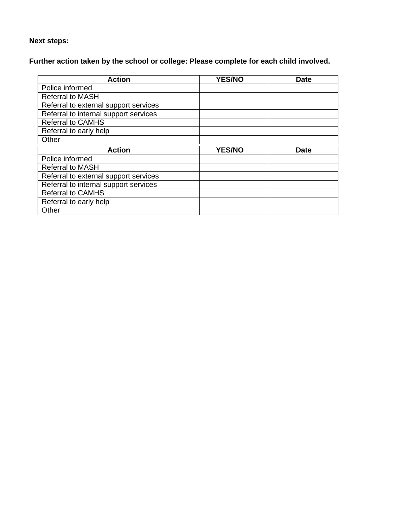## **Next steps:**

# **Further action taken by the school or college: Please complete for each child involved.**

| <b>Action</b>                         | <b>YES/NO</b> | <b>Date</b> |
|---------------------------------------|---------------|-------------|
| Police informed                       |               |             |
| <b>Referral to MASH</b>               |               |             |
| Referral to external support services |               |             |
| Referral to internal support services |               |             |
| <b>Referral to CAMHS</b>              |               |             |
| Referral to early help                |               |             |
| Other                                 |               |             |
|                                       |               |             |
| <b>Action</b>                         | <b>YES/NO</b> | <b>Date</b> |
| Police informed                       |               |             |
| <b>Referral to MASH</b>               |               |             |
| Referral to external support services |               |             |
| Referral to internal support services |               |             |
| <b>Referral to CAMHS</b>              |               |             |
| Referral to early help                |               |             |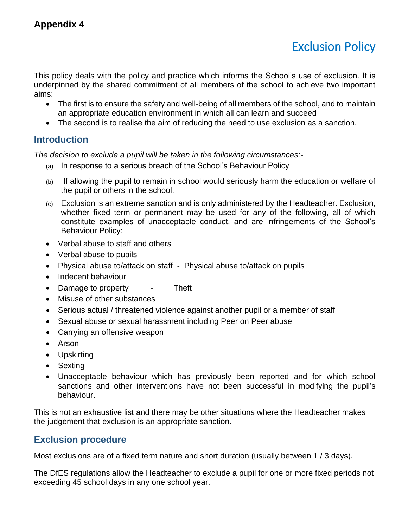# Exclusion Policy

This policy deals with the policy and practice which informs the School's use of exclusion. It is underpinned by the shared commitment of all members of the school to achieve two important aims:

- The first is to ensure the safety and well-being of all members of the school, and to maintain an appropriate education environment in which all can learn and succeed
- The second is to realise the aim of reducing the need to use exclusion as a sanction.

## **Introduction**

*The decision to exclude a pupil will be taken in the following circumstances:-*

- (a) In response to a serious breach of the School's Behaviour Policy
- (b) If allowing the pupil to remain in school would seriously harm the education or welfare of the pupil or others in the school.
- (c) Exclusion is an extreme sanction and is only administered by the Headteacher. Exclusion, whether fixed term or permanent may be used for any of the following, all of which constitute examples of unacceptable conduct, and are infringements of the School's Behaviour Policy:
- Verbal abuse to staff and others
- Verbal abuse to pupils
- Physical abuse to/attack on staff Physical abuse to/attack on pupils
- Indecent behaviour
- Damage to property Theft
- Misuse of other substances
- Serious actual / threatened violence against another pupil or a member of staff
- Sexual abuse or sexual harassment including Peer on Peer abuse
- Carrying an offensive weapon
- Arson
- Upskirting
- Sexting
- Unacceptable behaviour which has previously been reported and for which school sanctions and other interventions have not been successful in modifying the pupil's behaviour.

This is not an exhaustive list and there may be other situations where the Headteacher makes the judgement that exclusion is an appropriate sanction.

# **Exclusion procedure**

Most exclusions are of a fixed term nature and short duration (usually between 1 / 3 days).

The DfES regulations allow the Headteacher to exclude a pupil for one or more fixed periods not exceeding 45 school days in any one school year.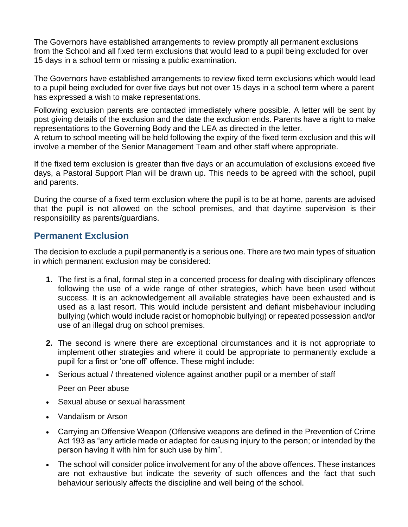The Governors have established arrangements to review promptly all permanent exclusions from the School and all fixed term exclusions that would lead to a pupil being excluded for over 15 days in a school term or missing a public examination.

The Governors have established arrangements to review fixed term exclusions which would lead to a pupil being excluded for over five days but not over 15 days in a school term where a parent has expressed a wish to make representations.

Following exclusion parents are contacted immediately where possible. A letter will be sent by post giving details of the exclusion and the date the exclusion ends. Parents have a right to make representations to the Governing Body and the LEA as directed in the letter.

A return to school meeting will be held following the expiry of the fixed term exclusion and this will involve a member of the Senior Management Team and other staff where appropriate.

If the fixed term exclusion is greater than five days or an accumulation of exclusions exceed five days, a Pastoral Support Plan will be drawn up. This needs to be agreed with the school, pupil and parents.

During the course of a fixed term exclusion where the pupil is to be at home, parents are advised that the pupil is not allowed on the school premises, and that daytime supervision is their responsibility as parents/guardians.

## **Permanent Exclusion**

The decision to exclude a pupil permanently is a serious one. There are two main types of situation in which permanent exclusion may be considered:

- **1.** The first is a final, formal step in a concerted process for dealing with disciplinary offences following the use of a wide range of other strategies, which have been used without success. It is an acknowledgement all available strategies have been exhausted and is used as a last resort. This would include persistent and defiant misbehaviour including bullying (which would include racist or homophobic bullying) or repeated possession and/or use of an illegal drug on school premises.
- **2.** The second is where there are exceptional circumstances and it is not appropriate to implement other strategies and where it could be appropriate to permanently exclude a pupil for a first or 'one off' offence. These might include:
- Serious actual / threatened violence against another pupil or a member of staff

Peer on Peer abuse

- Sexual abuse or sexual harassment
- Vandalism or Arson
- Carrying an Offensive Weapon (Offensive weapons are defined in the Prevention of Crime Act 193 as "any article made or adapted for causing injury to the person; or intended by the person having it with him for such use by him".
- The school will consider police involvement for any of the above offences. These instances are not exhaustive but indicate the severity of such offences and the fact that such behaviour seriously affects the discipline and well being of the school.